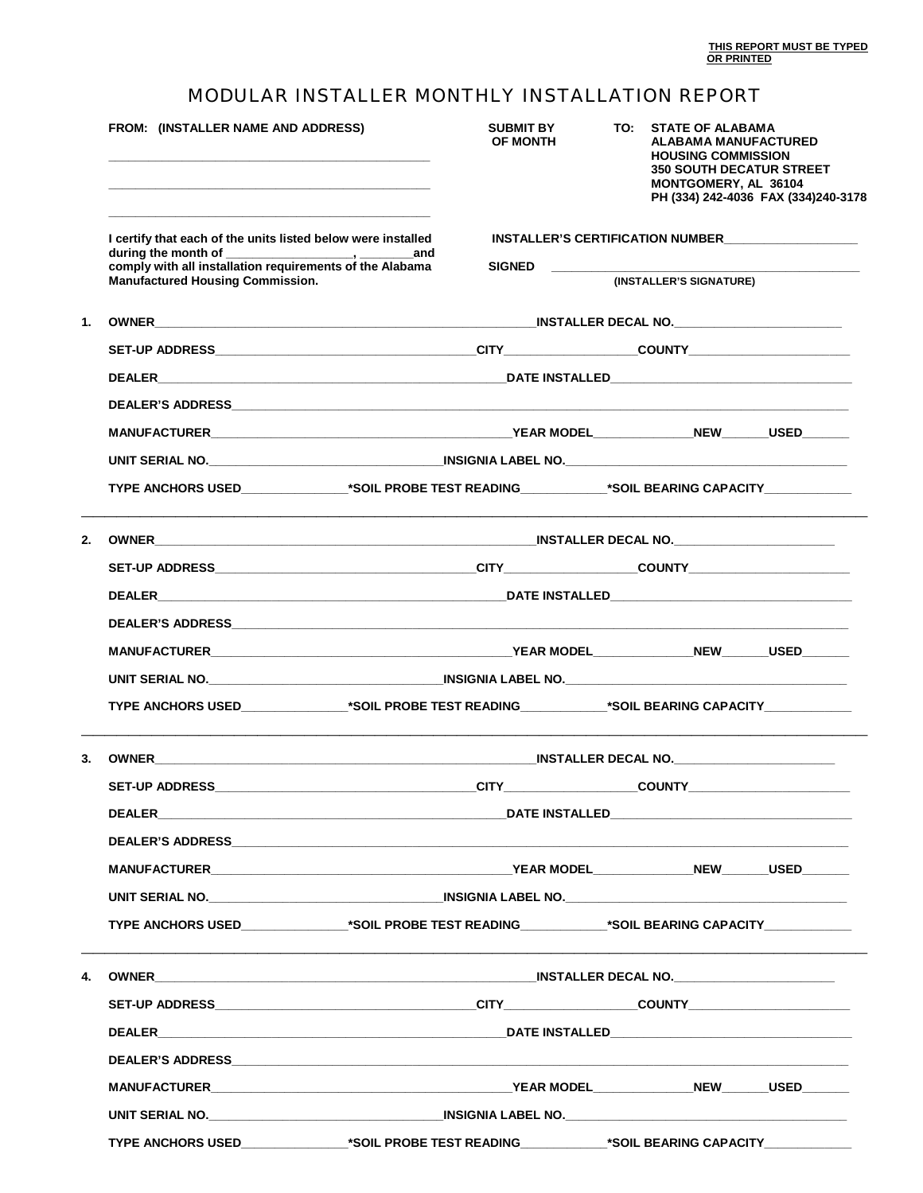## MODULAR INSTALLER MONTHLY INSTALLATION REPORT

|    | FROM: (INSTALLER NAME AND ADDRESS)                                                                       | <b>SUBMIT BY</b><br><b>OF MONTH</b>                                                                                                                                                                 |                                                                                            | TO: STATE OF ALABAMA<br><b>ALABAMA MANUFACTURED</b><br><b>HOUSING COMMISSION</b><br><b>350 SOUTH DECATUR STREET</b><br>MONTGOMERY, AL 36104<br>PH (334) 242-4036 FAX (334)240-3178 |  |  |  |
|----|----------------------------------------------------------------------------------------------------------|-----------------------------------------------------------------------------------------------------------------------------------------------------------------------------------------------------|--------------------------------------------------------------------------------------------|------------------------------------------------------------------------------------------------------------------------------------------------------------------------------------|--|--|--|
|    | I certify that each of the units listed below were installed                                             | INSTALLER'S CERTIFICATION NUMBER                                                                                                                                                                    |                                                                                            |                                                                                                                                                                                    |  |  |  |
|    | comply with all installation requirements of the Alabama                                                 | <b>SIGNED</b>                                                                                                                                                                                       | <u> 1980 - Johann John Stein, mars an de Frankrik (f. 1980)</u><br>(INSTALLER'S SIGNATURE) |                                                                                                                                                                                    |  |  |  |
|    | <b>Manufactured Housing Commission.</b>                                                                  |                                                                                                                                                                                                     |                                                                                            |                                                                                                                                                                                    |  |  |  |
| 1. |                                                                                                          |                                                                                                                                                                                                     |                                                                                            |                                                                                                                                                                                    |  |  |  |
|    |                                                                                                          |                                                                                                                                                                                                     |                                                                                            |                                                                                                                                                                                    |  |  |  |
|    |                                                                                                          |                                                                                                                                                                                                     |                                                                                            |                                                                                                                                                                                    |  |  |  |
|    |                                                                                                          |                                                                                                                                                                                                     |                                                                                            |                                                                                                                                                                                    |  |  |  |
|    |                                                                                                          |                                                                                                                                                                                                     |                                                                                            |                                                                                                                                                                                    |  |  |  |
|    |                                                                                                          |                                                                                                                                                                                                     |                                                                                            |                                                                                                                                                                                    |  |  |  |
|    | TYPE ANCHORS USED______________*SOIL PROBE TEST READING____________*SOIL BEARING CAPACITY___________     |                                                                                                                                                                                                     |                                                                                            |                                                                                                                                                                                    |  |  |  |
| 2. |                                                                                                          | <u> 1989 - Johann Stein, marwolaethau a bhann an t-Amhain ann an t-Amhain an t-Amhain an t-Amhain an t-Amhain an </u><br>OWNER NOTIFIED AND THE SECOND MANUSCRIPT OF THE SECOND INSTALLER DECAL NO. |                                                                                            |                                                                                                                                                                                    |  |  |  |
|    |                                                                                                          |                                                                                                                                                                                                     |                                                                                            |                                                                                                                                                                                    |  |  |  |
|    |                                                                                                          |                                                                                                                                                                                                     |                                                                                            |                                                                                                                                                                                    |  |  |  |
|    |                                                                                                          |                                                                                                                                                                                                     |                                                                                            |                                                                                                                                                                                    |  |  |  |
|    |                                                                                                          |                                                                                                                                                                                                     |                                                                                            |                                                                                                                                                                                    |  |  |  |
|    |                                                                                                          |                                                                                                                                                                                                     |                                                                                            |                                                                                                                                                                                    |  |  |  |
|    |                                                                                                          | TYPE ANCHORS USED_______________*SOIL PROBE TEST READING____________*SOIL BEARING CAPACITY______________                                                                                            |                                                                                            |                                                                                                                                                                                    |  |  |  |
| 3. |                                                                                                          |                                                                                                                                                                                                     |                                                                                            |                                                                                                                                                                                    |  |  |  |
|    |                                                                                                          |                                                                                                                                                                                                     |                                                                                            |                                                                                                                                                                                    |  |  |  |
|    |                                                                                                          |                                                                                                                                                                                                     |                                                                                            |                                                                                                                                                                                    |  |  |  |
|    |                                                                                                          |                                                                                                                                                                                                     |                                                                                            |                                                                                                                                                                                    |  |  |  |
|    |                                                                                                          |                                                                                                                                                                                                     |                                                                                            |                                                                                                                                                                                    |  |  |  |
|    |                                                                                                          |                                                                                                                                                                                                     |                                                                                            |                                                                                                                                                                                    |  |  |  |
|    | TYPE ANCHORS USED_______________*SOIL PROBE TEST READING_____________*SOIL BEARING CAPACITY_____________ |                                                                                                                                                                                                     |                                                                                            |                                                                                                                                                                                    |  |  |  |
|    |                                                                                                          |                                                                                                                                                                                                     |                                                                                            |                                                                                                                                                                                    |  |  |  |
|    |                                                                                                          |                                                                                                                                                                                                     |                                                                                            |                                                                                                                                                                                    |  |  |  |
|    |                                                                                                          |                                                                                                                                                                                                     |                                                                                            |                                                                                                                                                                                    |  |  |  |
|    |                                                                                                          |                                                                                                                                                                                                     |                                                                                            |                                                                                                                                                                                    |  |  |  |
|    |                                                                                                          |                                                                                                                                                                                                     |                                                                                            |                                                                                                                                                                                    |  |  |  |
|    |                                                                                                          |                                                                                                                                                                                                     |                                                                                            |                                                                                                                                                                                    |  |  |  |
|    | TYPE ANCHORS USED_______________*SOIL PROBE TEST READING_____________*SOIL BEARING CAPACITY_____________ |                                                                                                                                                                                                     |                                                                                            |                                                                                                                                                                                    |  |  |  |